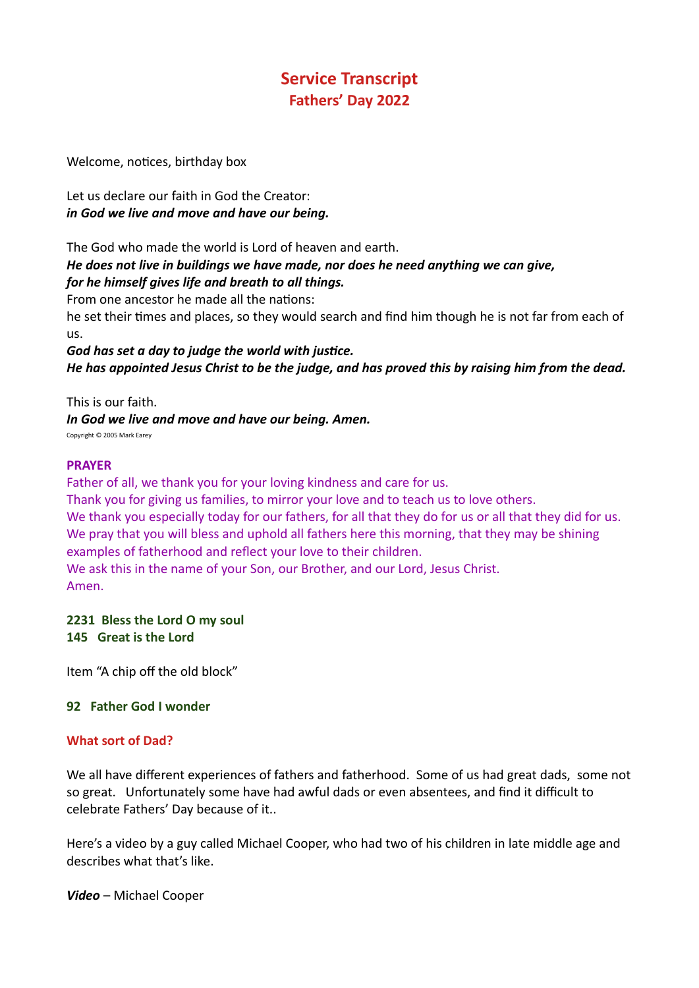# **Service Transcript Fathers' Day 2022**

Welcome, notices, birthday box

Let us declare our faith in God the Creator: *in God we live and move and have our being.*

The God who made the world is Lord of heaven and earth. *He does not live in buildings we have made, nor does he need anything we can give, for he himself gives life and breath to all things.*

From one ancestor he made all the nations:

he set their times and places, so they would search and find him though he is not far from each of us.

*God has set a day to judge the world with justice. He has appointed Jesus Christ to be the judge, and has proved this by raising him from the dead.*

This is our faith. *In God we live and move and have our being. Amen.*

Copyright © 2005 Mark Earey

### **PRAYER**

Father of all, we thank you for your loving kindness and care for us.

Thank you for giving us families, to mirror your love and to teach us to love others. We thank you especially today for our fathers, for all that they do for us or all that they did for us. We pray that you will bless and uphold all fathers here this morning, that they may be shining examples of fatherhood and reflect your love to their children.

We ask this in the name of your Son, our Brother, and our Lord, Jesus Christ. Amen.

**2231 Bless the Lord O my soul 145 Great is the Lord**

Item "A chip off the old block"

### **92 Father God I wonder**

### **What sort of Dad?**

We all have different experiences of fathers and fatherhood. Some of us had great dads, some not so great. Unfortunately some have had awful dads or even absentees, and find it difficult to celebrate Fathers' Day because of it..

Here's a video by a guy called Michael Cooper, who had two of his children in late middle age and describes what that's like.

*Video* – Michael Cooper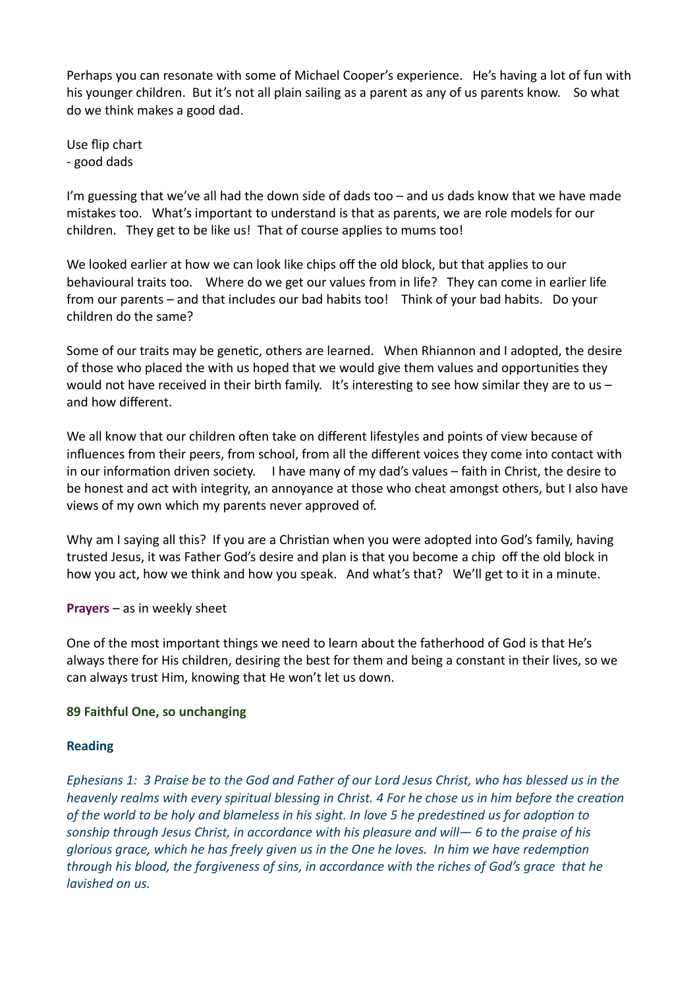Perhaps you can resonate with some of Michael Cooper's experience. He's having a lot of fun with his younger children. But it's not all plain sailing as a parent as any of us parents know. So what do we think makes a good dad.

Use flip chart - good dads

I'm guessing that we've all had the down side of dads too  $-$  and us dads know that we have made mistakes too. What's important to understand is that as parents, we are role models for our children. They get to be like us! That of course applies to mums too!

We looked earlier at how we can look like chips off the old block, but that applies to our behavioural traits too. Where do we get our values from in life? They can come in earlier life from our parents – and that includes our bad habits too! Think of your bad habits. Do your children do the same?

Some of our traits may be genetic, others are learned. When Rhiannon and I adopted, the desire of those who placed the with us hoped that we would give them values and opportunities they would not have received in their birth family. It's interesting to see how similar they are to us  $$ and how different.

We all know that our children often take on different lifestyles and points of view because of influences from their peers, from school, from all the different voices they come into contact with in our information driven society. I have many of my dad's values – faith in Christ, the desire to be honest and act with integrity, an annoyance at those who cheat amongst others, but I also have views of my own which my parents never approved of.

Why am I saying all this? If you are a Christian when you were adopted into God's family, having trusted Jesus, it was Father God's desire and plan is that you become a chip off the old block in how you act, how we think and how you speak. And what's that? We'll get to it in a minute.

**Prayers** – as in weekly sheet

One of the most important things we need to learn about the fatherhood of God is that He's always there for His children, desiring the best for them and being a constant in their lives, so we can always trust Him, knowing that He won't let us down.

### **89 Faithful One, so unchanging**

### **Reading**

*Ephesians 1: 3 Praise be to the God and Father of our Lord Jesus Christ, who has blessed us in the heavenly realms with every spiritual blessing in Christ. 4 For he chose us in him before the creation of the world to be holy and blameless in his sight. In love 5 he predestined us for adoption to sonship through Jesus Christ, in accordance with his pleasure and will— 6 to the praise of his glorious grace, which he has freely given us in the One he loves. In him we have redemption through his blood, the forgiveness of sins, in accordance with the riches of God's grace that he lavished on us.*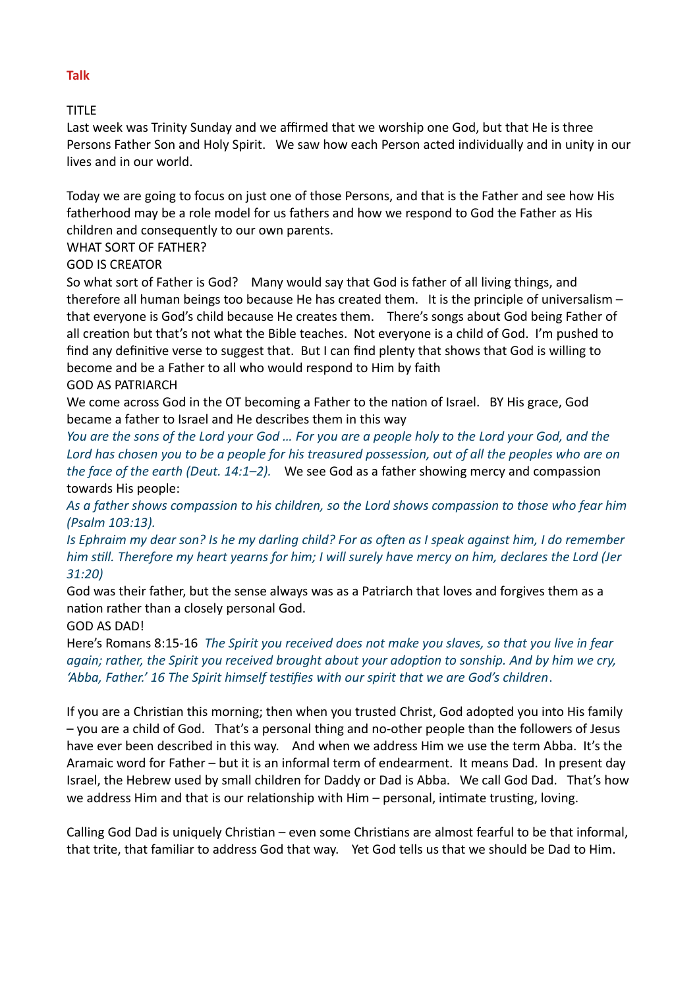# TITLE

Last week was Trinity Sunday and we affirmed that we worship one God, but that He is three Persons Father Son and Holy Spirit. We saw how each Person acted individually and in unity in our lives and in our world.

Today we are going to focus on just one of those Persons, and that is the Father and see how His fatherhood may be a role model for us fathers and how we respond to God the Father as His children and consequently to our own parents.

### WHAT SORT OF FATHER?

# GOD IS CREATOR

So what sort of Father is God? Many would say that God is father of all living things, and therefore all human beings too because He has created them. It is the principle of universalism – that everyone is God's child because He creates them. There's songs about God being Father of all creation but that's not what the Bible teaches. Not everyone is a child of God. I'm pushed to find any definitive verse to suggest that. But I can find plenty that shows that God is willing to become and be a Father to all who would respond to Him by faith

# GOD AS PATRIARCH

We come across God in the OT becoming a Father to the nation of Israel. BY His grace, God became a father to Israel and He describes them in this way

*You are the sons of the Lord your God … For you are a people holy to the Lord your God, and the Lord has chosen you to be a people for his treasured possession, out of all the peoples who are on the face of the earth (Deut. 14:1–2).* We see God as a father showing mercy and compassion towards His people:

*As a father shows compassion to his children, so the Lord shows compassion to those who fear him (Psalm 103:13).*

*Is Ephraim my dear son? Is he my darling child? For as often as I speak against him, I do remember him still. Therefore my heart yearns for him; I will surely have mercy on him, declares the Lord (Jer 31:20)*

God was their father, but the sense always was as a Patriarch that loves and forgives them as a nation rather than a closely personal God.

# GOD AS DAD!

Here's Romans 8:15-16 *The Spirit you received does not make you slaves, so that you live in fear again; rather, the Spirit you received brought about your adoption to sonship. And by him we cry, 'Abba, Father.' 16 The Spirit himself testifies with our spirit that we are God's children*.

If you are a Christian this morning; then when you trusted Christ, God adopted you into His family – you are a child of God. That's a personal thing and no-other people than the followers of Jesus have ever been described in this way. And when we address Him we use the term Abba. It's the Aramaic word for Father – but it is an informal term of endearment. It means Dad. In present day Israel, the Hebrew used by small children for Daddy or Dad is Abba. We call God Dad. That's how we address Him and that is our relationship with Him – personal, intimate trusting, loving.

Calling God Dad is uniquely Christian – even some Christians are almost fearful to be that informal, that trite, that familiar to address God that way. Yet God tells us that we should be Dad to Him.

#### **Talk**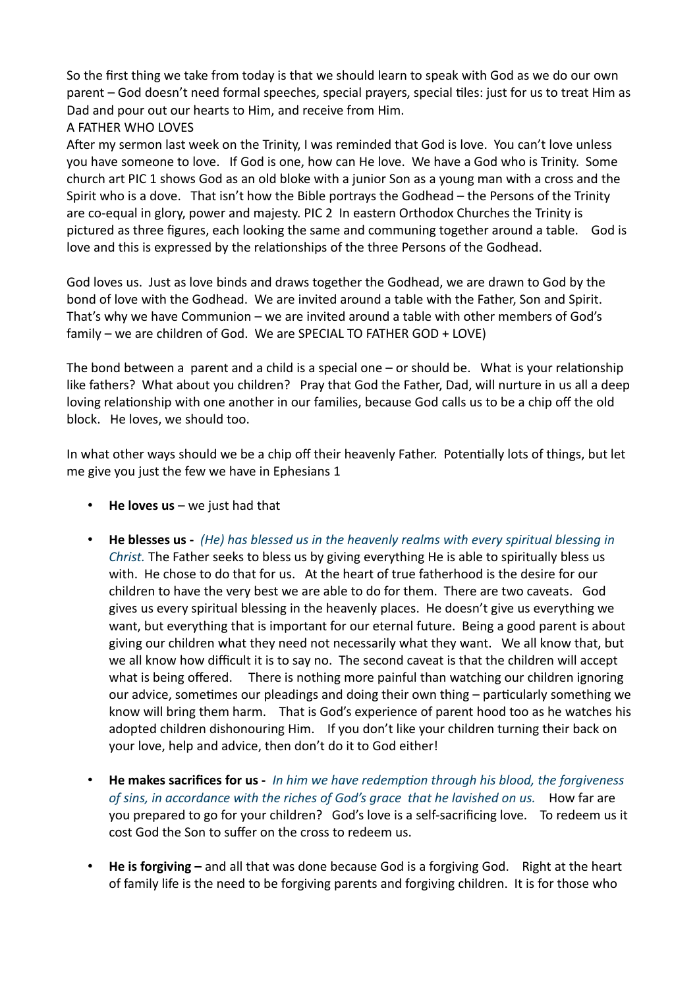So the first thing we take from today is that we should learn to speak with God as we do our own parent – God doesn't need formal speeches, special prayers, special tiles: just for us to treat Him as Dad and pour out our hearts to Him, and receive from Him.

# A FATHER WHO LOVES

After my sermon last week on the Trinity, I was reminded that God is love. You can't love unless you have someone to love. If God is one, how can He love. We have a God who is Trinity. Some church art PIC 1 shows God as an old bloke with a junior Son as a young man with a cross and the Spirit who is a dove. That isn't how the Bible portrays the Godhead – the Persons of the Trinity are co-equal in glory, power and majesty. PIC 2 In eastern Orthodox Churches the Trinity is pictured as three figures, each looking the same and communing together around a table. God is love and this is expressed by the relationships of the three Persons of the Godhead.

God loves us. Just as love binds and draws together the Godhead, we are drawn to God by the bond of love with the Godhead. We are invited around a table with the Father, Son and Spirit. That's why we have Communion – we are invited around a table with other members of God's family – we are children of God. We are SPECIAL TO FATHER GOD + LOVE)

The bond between a parent and a child is a special one – or should be. What is your relationship like fathers? What about you children? Pray that God the Father, Dad, will nurture in us all a deep loving relationship with one another in our families, because God calls us to be a chip off the old block. He loves, we should too.

In what other ways should we be a chip off their heavenly Father. Potentially lots of things, but let me give you just the few we have in Ephesians 1

- **He loves us** we just had that
- **He blesses us** *(He) has blessed us in the heavenly realms with every spiritual blessing in Christ.* The Father seeks to bless us by giving everything He is able to spiritually bless us with. He chose to do that for us. At the heart of true fatherhood is the desire for our children to have the very best we are able to do for them. There are two caveats. God gives us every spiritual blessing in the heavenly places. He doesn't give us everything we want, but everything that is important for our eternal future. Being a good parent is about giving our children what they need not necessarily what they want. We all know that, but we all know how difficult it is to say no. The second caveat is that the children will accept what is being offered. There is nothing more painful than watching our children ignoring our advice, sometimes our pleadings and doing their own thing – particularly something we know will bring them harm. That is God's experience of parent hood too as he watches his adopted children dishonouring Him. If you don't like your children turning their back on your love, help and advice, then don't do it to God either!
- **He makes sacrifices for us** *In him we have redemption through his blood, the forgiveness*  of sins, in accordance with the riches of God's grace that he lavished on us. How far are you prepared to go for your children? God's love is a self-sacrificing love. To redeem us it cost God the Son to suffer on the cross to redeem us.
- **He is forgiving** and all that was done because God is a forgiving God. Right at the heart of family life is the need to be forgiving parents and forgiving children. It is for those who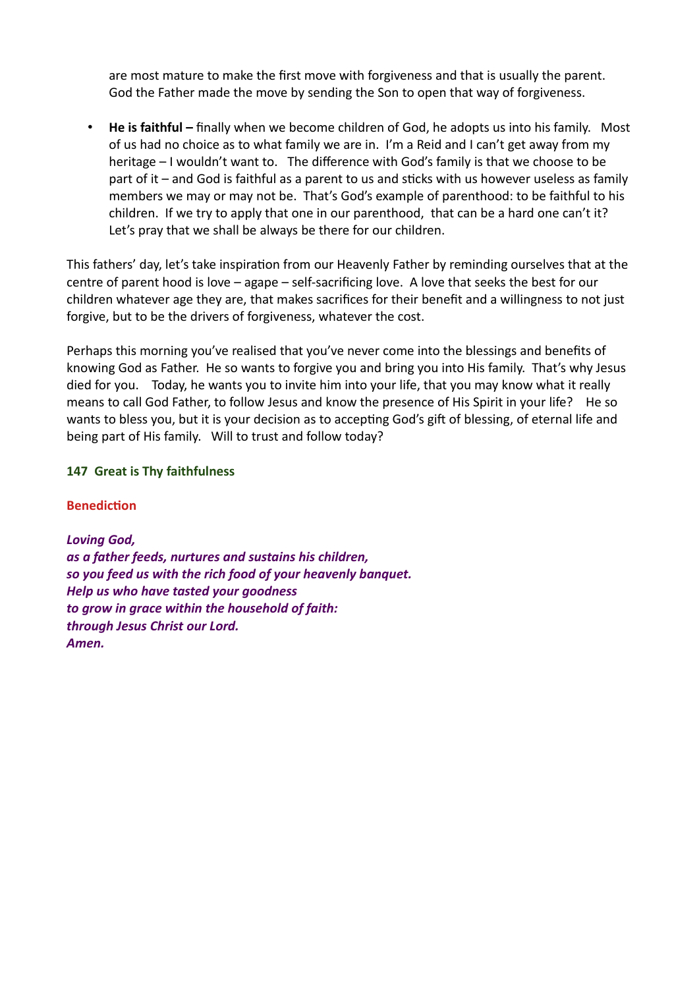are most mature to make the first move with forgiveness and that is usually the parent. God the Father made the move by sending the Son to open that way of forgiveness.

• **He is faithful –** finally when we become children of God, he adopts us into his family. Most of us had no choice as to what family we are in. I'm a Reid and I can't get away from my heritage – I wouldn't want to. The difference with God's family is that we choose to be part of it – and God is faithful as a parent to us and sticks with us however useless as family members we may or may not be. That's God's example of parenthood: to be faithful to his children. If we try to apply that one in our parenthood, that can be a hard one can't it? Let's pray that we shall be always be there for our children.

This fathers' day, let's take inspiration from our Heavenly Father by reminding ourselves that at the centre of parent hood is love – agape – self-sacrificing love. A love that seeks the best for our children whatever age they are, that makes sacrifices for their benefit and a willingness to not just forgive, but to be the drivers of forgiveness, whatever the cost.

Perhaps this morning you've realised that you've never come into the blessings and benefits of knowing God as Father. He so wants to forgive you and bring you into His family. That's why Jesus died for you. Today, he wants you to invite him into your life, that you may know what it really means to call God Father, to follow Jesus and know the presence of His Spirit in your life? He so wants to bless you, but it is your decision as to accepting God's gift of blessing, of eternal life and being part of His family. Will to trust and follow today?

### **147 Great is Thy faithfulness**

### **Benediction**

*Loving God, as a father feeds, nurtures and sustains his children, so you feed us with the rich food of your heavenly banquet. Help us who have tasted your goodness to grow in grace within the household of faith: through Jesus Christ our Lord. Amen.*